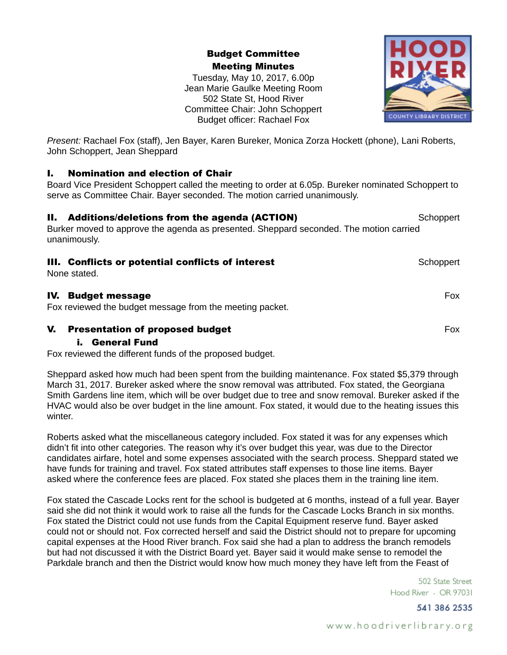Budget Committee Meeting Minutes

Tuesday, May 10, 2017, 6.00p Jean Marie Gaulke Meeting Room 502 State St, Hood River Committee Chair: John Schoppert Budget officer: Rachael Fox



*Present:* Rachael Fox (staff), Jen Bayer, Karen Bureker, Monica Zorza Hockett (phone), Lani Roberts, John Schoppert, Jean Sheppard

## I. Nomination and election of Chair

Board Vice President Schoppert called the meeting to order at 6.05p. Bureker nominated Schoppert to serve as Committee Chair. Bayer seconded. The motion carried unanimously.

# **II. Additions/deletions from the agenda (ACTION)** Schoppert

Burker moved to approve the agenda as presented. Sheppard seconded. The motion carried unanimously.

# **III. Conflicts or potential conflicts of interest** Schoppert Schoppert

None stated.

## IV. Budget message Fox

Fox reviewed the budget message from the meeting packet.

# **V.** Presentation of proposed budget Fox and the set of the Fox and Fox and Fox and Fox and Fox and Fox and Fox

### i. General Fund

Fox reviewed the different funds of the proposed budget.

Sheppard asked how much had been spent from the building maintenance. Fox stated \$5,379 through March 31, 2017. Bureker asked where the snow removal was attributed. Fox stated, the Georgiana Smith Gardens line item, which will be over budget due to tree and snow removal. Bureker asked if the HVAC would also be over budget in the line amount. Fox stated, it would due to the heating issues this winter.

Roberts asked what the miscellaneous category included. Fox stated it was for any expenses which didn't fit into other categories. The reason why it's over budget this year, was due to the Director candidates airfare, hotel and some expenses associated with the search process. Sheppard stated we have funds for training and travel. Fox stated attributes staff expenses to those line items. Bayer asked where the conference fees are placed. Fox stated she places them in the training line item.

Fox stated the Cascade Locks rent for the school is budgeted at 6 months, instead of a full year. Bayer said she did not think it would work to raise all the funds for the Cascade Locks Branch in six months. Fox stated the District could not use funds from the Capital Equipment reserve fund. Bayer asked could not or should not. Fox corrected herself and said the District should not to prepare for upcoming capital expenses at the Hood River branch. Fox said she had a plan to address the branch remodels but had not discussed it with the District Board yet. Bayer said it would make sense to remodel the Parkdale branch and then the District would know how much money they have left from the Feast of

> 502 State Street Hood River · OR 97031

> > 541 386 2535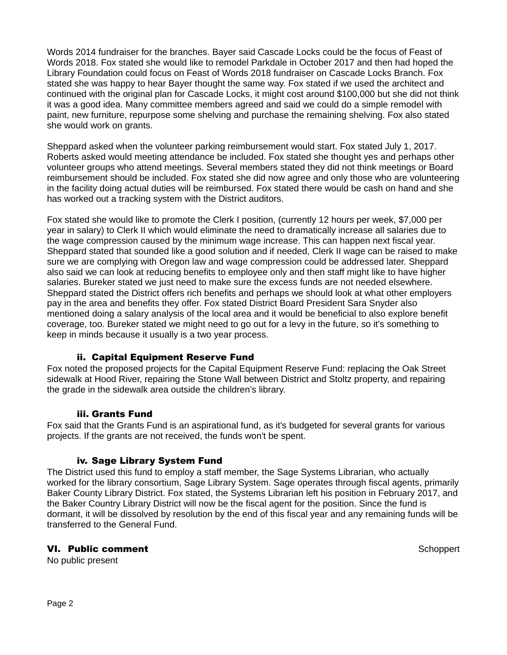Words 2014 fundraiser for the branches. Bayer said Cascade Locks could be the focus of Feast of Words 2018. Fox stated she would like to remodel Parkdale in October 2017 and then had hoped the Library Foundation could focus on Feast of Words 2018 fundraiser on Cascade Locks Branch. Fox stated she was happy to hear Bayer thought the same way. Fox stated if we used the architect and continued with the original plan for Cascade Locks, it might cost around \$100,000 but she did not think it was a good idea. Many committee members agreed and said we could do a simple remodel with paint, new furniture, repurpose some shelving and purchase the remaining shelving. Fox also stated she would work on grants.

Sheppard asked when the volunteer parking reimbursement would start. Fox stated July 1, 2017. Roberts asked would meeting attendance be included. Fox stated she thought yes and perhaps other volunteer groups who attend meetings. Several members stated they did not think meetings or Board reimbursement should be included. Fox stated she did now agree and only those who are volunteering in the facility doing actual duties will be reimbursed. Fox stated there would be cash on hand and she has worked out a tracking system with the District auditors.

Fox stated she would like to promote the Clerk I position, (currently 12 hours per week, \$7,000 per year in salary) to Clerk II which would eliminate the need to dramatically increase all salaries due to the wage compression caused by the minimum wage increase. This can happen next fiscal year. Sheppard stated that sounded like a good solution and if needed, Clerk II wage can be raised to make sure we are complying with Oregon law and wage compression could be addressed later. Sheppard also said we can look at reducing benefits to employee only and then staff might like to have higher salaries. Bureker stated we just need to make sure the excess funds are not needed elsewhere. Sheppard stated the District offers rich benefits and perhaps we should look at what other employers pay in the area and benefits they offer. Fox stated District Board President Sara Snyder also mentioned doing a salary analysis of the local area and it would be beneficial to also explore benefit coverage, too. Bureker stated we might need to go out for a levy in the future, so it's something to keep in minds because it usually is a two year process.

# ii. Capital Equipment Reserve Fund

Fox noted the proposed projects for the Capital Equipment Reserve Fund: replacing the Oak Street sidewalk at Hood River, repairing the Stone Wall between District and Stoltz property, and repairing the grade in the sidewalk area outside the children's library.

### iii. Grants Fund

Fox said that the Grants Fund is an aspirational fund, as it's budgeted for several grants for various projects. If the grants are not received, the funds won't be spent.

### iv. Sage Library System Fund

The District used this fund to employ a staff member, the Sage Systems Librarian, who actually worked for the library consortium, Sage Library System. Sage operates through fiscal agents, primarily Baker County Library District. Fox stated, the Systems Librarian left his position in February 2017, and the Baker Country Library District will now be the fiscal agent for the position. Since the fund is dormant, it will be dissolved by resolution by the end of this fiscal year and any remaining funds will be transferred to the General Fund.

### VI. Public comment Schoppert Schoppert Schoppert Schoppert Schoppert Schoppert Schoppert Schoppert Schoppert Schoppert

No public present